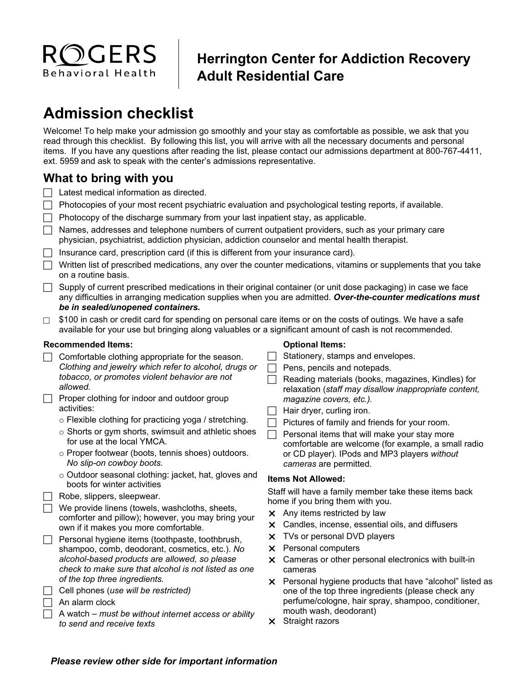

## **Herrington Center for Addiction Recovery Adult Residential Care**

# **Admission checklist**

Welcome! To help make your admission go smoothly and your stay as comfortable as possible, we ask that you read through this checklist. By following this list, you will arrive with all the necessary documents and personal items. If you have any questions after reading the list, please contact our admissions department at 800-767-4411, ext. 5959 and ask to speak with the center's admissions representative.

### **What to bring with you**

- $\Box$  Latest medical information as directed.
- $\Box$  Photocopies of your most recent psychiatric evaluation and psychological testing reports, if available.
- $\Box$  Photocopy of the discharge summary from your last inpatient stay, as applicable.
- $\Box$  Names, addresses and telephone numbers of current outpatient providers, such as your primary care physician, psychiatrist, addiction physician, addiction counselor and mental health therapist.
- $\Box$  Insurance card, prescription card (if this is different from your insurance card).
- $\Box$  Written list of prescribed medications, any over the counter medications, vitamins or supplements that you take on a routine basis.
- $\Box$  Supply of current prescribed medications in their original container (or unit dose packaging) in case we face any difficulties in arranging medication supplies when you are admitted. *Over-the-counter medications must be in sealed/unopened containers.*
- $\Box$  \$100 in cash or credit card for spending on personal care items or on the costs of outings. We have a safe available for your use but bringing along valuables or a significant amount of cash is not recommended.

#### **Recommended Items:**

- $\Box$  Comfortable clothing appropriate for the season. *Clothing and jewelry which refer to alcohol, drugs or tobacco, or promotes violent behavior are not allowed.*
- $\Box$  Proper clothing for indoor and outdoor group activities:
	- o Flexible clothing for practicing yoga / stretching.
	- o Shorts or gym shorts, swimsuit and athletic shoes for use at the local YMCA.
	- o Proper footwear (boots, tennis shoes) outdoors. *No slip-on cowboy boots.*
	- o Outdoor seasonal clothing: jacket, hat, gloves and boots for winter activities
- $\Box$  Robe, slippers, sleepwear.

 $\Box$  We provide linens (towels, washcloths, sheets, comforter and pillow); however, you may bring your own if it makes you more comfortable.

- $\Box$  Personal hygiene items (toothpaste, toothbrush, shampoo, comb, deodorant, cosmetics, etc.). *No alcohol-based products are allowed, so please check to make sure that alcohol is not listed as one of the top three ingredients.*
- Cell phones (*use will be restricted)*
- $\Box$  An alarm clock
- A watch *must be without internet access or ability to send and receive texts*

#### **Optional Items:**

- Stationery, stamps and envelopes.
- $\Box$  Pens, pencils and notepads.
- $\Box$  Reading materials (books, magazines, Kindles) for relaxation (*staff may disallow inappropriate content, magazine covers, etc.).*
- $\Box$  Hair dryer, curling iron.
- $\Box$  Pictures of family and friends for your room.
- $\Box$  Personal items that will make your stay more comfortable are welcome (for example, a small radio or CD player). IPods and MP3 players *without cameras* are permitted.

#### **Items Not Allowed:**

Staff will have a family member take these items back home if you bring them with you.

- $\times$  Any items restricted by law
- Candles, incense, essential oils, and diffusers
- X TVs or personal DVD players
- $\times$  Personal computers
- $\times$  Cameras or other personal electronics with built-in cameras
- **X** Personal hygiene products that have "alcohol" listed as one of the top three ingredients (please check any perfume/cologne, hair spray, shampoo, conditioner, mouth wash, deodorant)
- $\times$  Straight razors